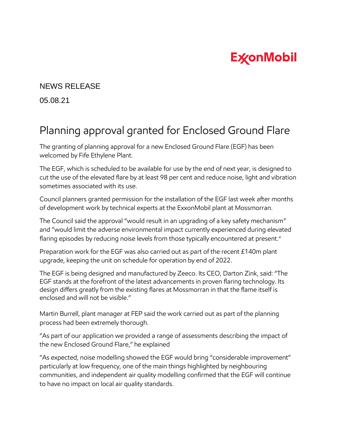## **ExconMobil**

## NEWS RELEASE

05.08.21

## Planning approval granted for Enclosed Ground Flare

The granting of planning approval for a new Enclosed Ground Flare (EGF) has been welcomed by Fife Ethylene Plant.

The EGF, which is scheduled to be available for use by the end of next year, is designed to cut the use of the elevated flare by at least 98 per cent and reduce noise, light and vibration sometimes associated with its use.

Council planners granted permission for the installation of the EGF last week after months of development work by technical experts at the ExxonMobil plant at Mossmorran.

The Council said the approval "would result in an upgrading of a key safety mechanism" and "would limit the adverse environmental impact currently experienced during elevated flaring episodes by reducing noise levels from those typically encountered at present."

Preparation work for the EGF was also carried out as part of the recent £140m plant upgrade, keeping the unit on schedule for operation by end of 2022.

The EGF is being designed and manufactured by Zeeco. Its CEO, Darton Zink, said: "The EGF stands at the forefront of the latest advancements in proven flaring technology. Its design differs greatly from the existing flares at Mossmorran in that the flame itself is enclosed and will not be visible."

Martin Burrell, plant manager at FEP said the work carried out as part of the planning process had been extremely thorough.

"As part of our application we provided a range of assessments describing the impact of the new Enclosed Ground Flare," he explained

"As expected, noise modelling showed the EGF would bring "considerable improvement" particularly at low frequency, one of the main things highlighted by neighbouring communities, and independent air quality modelling confirmed that the EGF will continue to have no impact on local air quality standards.